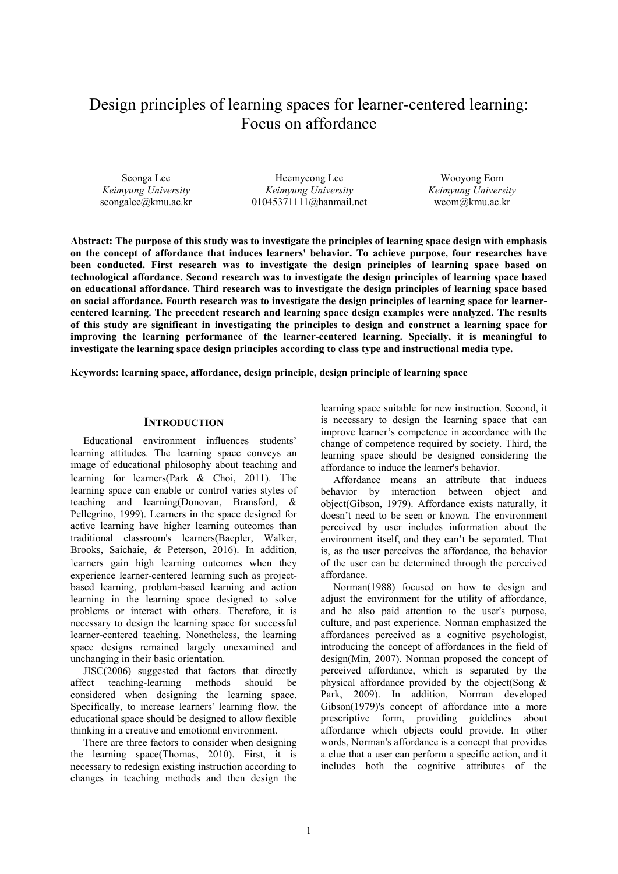# Design principles of learning spaces for learner-centered learning: Focus on affordance

Seonga Lee *Keimyung University* seongalee@kmu.ac.kr

Heemyeong Lee *Keimyung University* 01045371111@hanmail.net

Wooyong Eom *Keimyung University* weom@kmu.ac.kr

**Abstract: The purpose of this study was to investigate the principles of learning space design with emphasis on the concept of affordance that induces learners' behavior. To achieve purpose, four researches have been conducted. First research was to investigate the design principles of learning space based on technological affordance. Second research was to investigate the design principles of learning space based on educational affordance. Third research was to investigate the design principles of learning space based on social affordance. Fourth research was to investigate the design principles of learning space for learnercentered learning. The precedent research and learning space design examples were analyzed. The results of this study are significant in investigating the principles to design and construct a learning space for improving the learning performance of the learner-centered learning. Specially, it is meaningful to investigate the learning space design principles according to class type and instructional media type.**

**Keywords: learning space, affordance, design principle, design principle of learning space**

#### **INTRODUCTION**

Educational environment influences students' learning attitudes. The learning space conveys an image of educational philosophy about teaching and learning for learners(Park & Choi, 2011). The learning space can enable or control varies styles of teaching and learning(Donovan, Bransford, & Pellegrino, 1999). Learners in the space designed for active learning have higher learning outcomes than traditional classroom's learners(Baepler, Walker, Brooks, Saichaie, & Peterson, 2016). In addition, learners gain high learning outcomes when they experience learner-centered learning such as projectbased learning, problem-based learning and action learning in the learning space designed to solve problems or interact with others. Therefore, it is necessary to design the learning space for successful learner-centered teaching. Nonetheless, the learning space designs remained largely unexamined and unchanging in their basic orientation.

JISC(2006) suggested that factors that directly affect teaching-learning methods should be considered when designing the learning space. Specifically, to increase learners' learning flow, the educational space should be designed to allow flexible thinking in a creative and emotional environment.

There are three factors to consider when designing the learning space(Thomas, 2010). First, it is necessary to redesign existing instruction according to changes in teaching methods and then design the

learning space suitable for new instruction. Second, it is necessary to design the learning space that can improve learner's competence in accordance with the change of competence required by society. Third, the learning space should be designed considering the affordance to induce the learner's behavior.

Affordance means an attribute that induces behavior by interaction between object and object(Gibson, 1979). Affordance exists naturally, it doesn't need to be seen or known. The environment perceived by user includes information about the environment itself, and they can't be separated. That is, as the user perceives the affordance, the behavior of the user can be determined through the perceived affordance.

Norman(1988) focused on how to design and adjust the environment for the utility of affordance, and he also paid attention to the user's purpose, culture, and past experience. Norman emphasized the affordances perceived as a cognitive psychologist, introducing the concept of affordances in the field of design(Min, 2007). Norman proposed the concept of perceived affordance, which is separated by the physical affordance provided by the object(Song & Park, 2009). In addition, Norman developed Gibson(1979)'s concept of affordance into a more prescriptive form, providing guidelines about affordance which objects could provide. In other words, Norman's affordance is a concept that provides a clue that a user can perform a specific action, and it includes both the cognitive attributes of the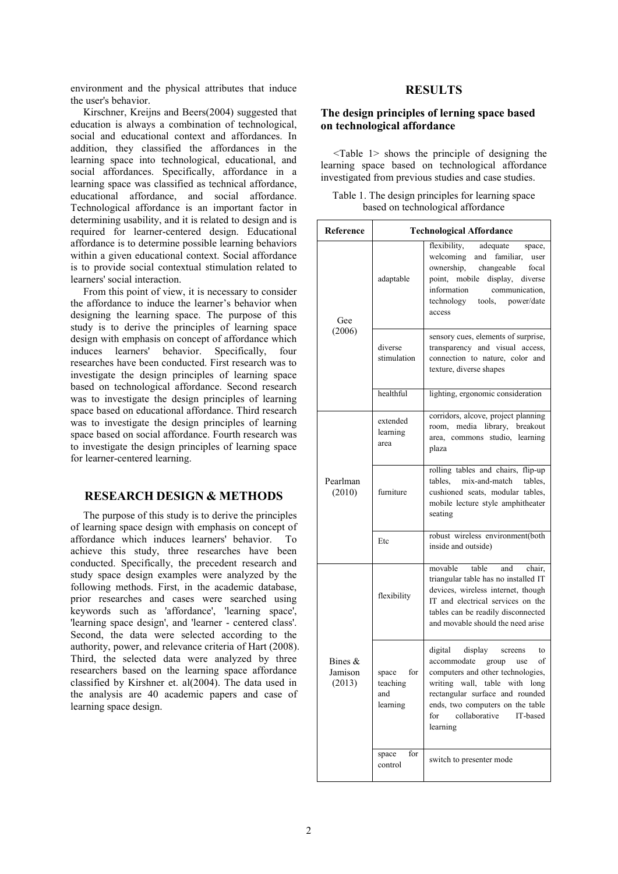environment and the physical attributes that induce the user's behavior.

Kirschner, Kreijns and Beers(2004) suggested that education is always a combination of technological, social and educational context and affordances. In addition, they classified the affordances in the learning space into technological, educational, and social affordances. Specifically, affordance in a learning space was classified as technical affordance, educational affordance, and social affordance. Technological affordance is an important factor in determining usability, and it is related to design and is required for learner-centered design. Educational affordance is to determine possible learning behaviors within a given educational context. Social affordance is to provide social contextual stimulation related to learners' social interaction.

From this point of view, it is necessary to consider the affordance to induce the learner's behavior when designing the learning space. The purpose of this study is to derive the principles of learning space design with emphasis on concept of affordance which induces learners' behavior. Specifically, four researches have been conducted. First research was to investigate the design principles of learning space based on technological affordance. Second research was to investigate the design principles of learning space based on educational affordance. Third research was to investigate the design principles of learning space based on social affordance. Fourth research was to investigate the design principles of learning space for learner-centered learning.

# **RESEARCH DESIGN & METHODS**

The purpose of this study is to derive the principles of learning space design with emphasis on concept of affordance which induces learners' behavior. To achieve this study, three researches have been conducted. Specifically, the precedent research and study space design examples were analyzed by the following methods. First, in the academic database, prior researches and cases were searched using keywords such as 'affordance', 'learning space', 'learning space design', and 'learner - centered class'. Second, the data were selected according to the authority, power, and relevance criteria of Hart (2008). Third, the selected data were analyzed by three researchers based on the learning space affordance classified by Kirshner et. al(2004). The data used in the analysis are 40 academic papers and case of learning space design.

# **RESULTS**

## **The design principles of lerning space based on technological affordance**

<Table 1> shows the principle of designing the learning space based on technological affordance investigated from previous studies and case studies.

|  |                                   |  | Table 1. The design principles for learning space |  |
|--|-----------------------------------|--|---------------------------------------------------|--|
|  | based on technological affordance |  |                                                   |  |

| Reference                      | <b>Technological Affordance</b>             |                                                                                                                                                                                                                                                                       |  |  |
|--------------------------------|---------------------------------------------|-----------------------------------------------------------------------------------------------------------------------------------------------------------------------------------------------------------------------------------------------------------------------|--|--|
| Gee                            | adaptable                                   | flexibility,<br>adequate<br>space,<br>welcoming<br>and familiar, user<br>ownership, changeable<br>focal<br>point, mobile<br>display, diverse<br>information<br>communication,<br>tools, power/date<br>technology<br>access                                            |  |  |
| (2006)                         | diverse<br>stimulation                      | sensory cues, elements of surprise,<br>transparency and visual access,<br>connection to nature, color and<br>texture, diverse shapes                                                                                                                                  |  |  |
|                                | healthful                                   | lighting, ergonomic consideration                                                                                                                                                                                                                                     |  |  |
| Pearlman<br>(2010)             | extended<br>learning<br>area                | corridors, alcove, project planning<br>room, media library, breakout<br>area, commons studio, learning<br>plaza                                                                                                                                                       |  |  |
|                                | furniture                                   | rolling tables and chairs, flip-up<br>tables,<br>mix-and-match tables,<br>cushioned seats, modular tables,<br>mobile lecture style amphitheater<br>seating                                                                                                            |  |  |
|                                | Etc                                         | robust wireless environment(both<br>inside and outside)                                                                                                                                                                                                               |  |  |
|                                | flexibility                                 | movable<br>table<br>and<br>chair,<br>triangular table has no installed IT<br>devices, wireless internet, though<br>IT and electrical services on the<br>tables can be readily disconnected<br>and movable should the need arise                                       |  |  |
| Bines $&$<br>Jamison<br>(2013) | space<br>for<br>teaching<br>and<br>learning | digital<br>display<br>screens<br>to<br>accommodate<br>of<br>group<br>use<br>computers and other technologies,<br>writing wall, table with long<br>rectangular surface and rounded<br>ends, two computers on the table<br>collaborative<br>for<br>IT-based<br>learning |  |  |
|                                | for<br>space<br>control                     | switch to presenter mode                                                                                                                                                                                                                                              |  |  |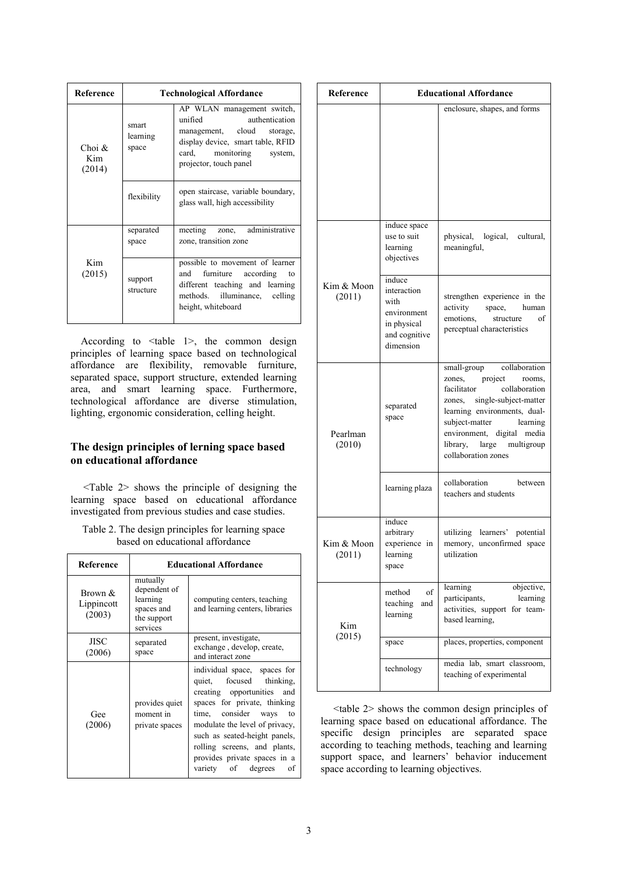| Reference                    | <b>Technological Affordance</b> |                                                                                                                                                                                     |  |  |
|------------------------------|---------------------------------|-------------------------------------------------------------------------------------------------------------------------------------------------------------------------------------|--|--|
| $Choi$ $\&$<br>Kim<br>(2014) | smart<br>learning<br>space      | AP WLAN management switch,<br>unified<br>authentication<br>management, cloud<br>storage,<br>display device, smart table, RFID<br>card, monitoring system,<br>projector, touch panel |  |  |
|                              | flexibility                     | open staircase, variable boundary,<br>glass wall, high accessibility                                                                                                                |  |  |
|                              | separated<br>space              | zone, administrative<br>meeting<br>zone, transition zone                                                                                                                            |  |  |
| Kim<br>(2015)                | support<br>structure            | possible to movement of learner<br>furniture according to<br>and<br>different teaching and learning<br>illuminance,<br>methods.<br>celling<br>height, whiteboard                    |  |  |

According to <table 1>, the common design principles of learning space based on technological affordance are flexibility, removable furniture, separated space, support structure, extended learning area, and smart learning space. Furthermore, technological affordance are diverse stimulation, lighting, ergonomic consideration, celling height.

# **The design principles of lerning space based on educational affordance**

<Table 2> shows the principle of designing the learning space based on educational affordance investigated from previous studies and case studies.

| Table 2. The design principles for learning space |
|---------------------------------------------------|
| based on educational affordance                   |

| Reference                       |                                                                               | <b>Educational Affordance</b>                                                                                                                                                                                                                                                                                            |  |
|---------------------------------|-------------------------------------------------------------------------------|--------------------------------------------------------------------------------------------------------------------------------------------------------------------------------------------------------------------------------------------------------------------------------------------------------------------------|--|
| Brown &<br>Lippincott<br>(2003) | mutually<br>dependent of<br>learning<br>spaces and<br>the support<br>services | computing centers, teaching<br>and learning centers, libraries                                                                                                                                                                                                                                                           |  |
| JISC<br>(2006)                  | separated<br>space                                                            | present, investigate,<br>exchange, develop, create,<br>and interact zone                                                                                                                                                                                                                                                 |  |
| Gee<br>(2006)                   | provides quiet<br>moment in<br>private spaces                                 | individual space, spaces for<br>quiet, focused<br>thinking,<br>creating opportunities<br>and<br>spaces for private, thinking<br>time, consider ways<br>to<br>modulate the level of privacy,<br>such as seated-height panels,<br>rolling screens, and plants,<br>provides private spaces in a<br>variety of degrees<br>οf |  |

| Reference            | <b>Educational Affordance</b>                                                             |                                                                                                                                                                                                                                                                             |  |  |
|----------------------|-------------------------------------------------------------------------------------------|-----------------------------------------------------------------------------------------------------------------------------------------------------------------------------------------------------------------------------------------------------------------------------|--|--|
|                      |                                                                                           | enclosure, shapes, and forms                                                                                                                                                                                                                                                |  |  |
|                      | induce space<br>use to suit<br>learning<br>objectives                                     | physical, logical, cultural,<br>meaningful,                                                                                                                                                                                                                                 |  |  |
| Kim & Moon<br>(2011) | induce<br>interaction<br>with<br>environment<br>in physical<br>and cognitive<br>dimension | strengthen experience in the<br>activity<br>space, human<br>emotions,<br>structure<br>of<br>perceptual characteristics                                                                                                                                                      |  |  |
| Pearlman<br>(2010)   | separated<br>space                                                                        | small-group collaboration<br>project<br>zones,<br>rooms,<br>facilitator<br>collaboration<br>zones, single-subject-matter<br>learning environments, dual-<br>subject-matter<br>learning<br>environment, digital media<br>library, large<br>multigroup<br>collaboration zones |  |  |
|                      | learning plaza                                                                            | collaboration<br>between<br>teachers and students                                                                                                                                                                                                                           |  |  |
| Kim & Moon<br>(2011) | induce<br>arbitrary<br>experience in<br>learning<br>space                                 | utilizing learners' potential<br>memory, unconfirmed space<br>utilization                                                                                                                                                                                                   |  |  |
| Kim                  | method<br>οf<br>teaching<br>and<br>learning                                               | learning<br>objective,<br>participants,<br>learning<br>activities, support for team-<br>based learning,                                                                                                                                                                     |  |  |
| (2015)               | space                                                                                     | places, properties, component                                                                                                                                                                                                                                               |  |  |
|                      | technology                                                                                | media lab, smart classroom,<br>teaching of experimental                                                                                                                                                                                                                     |  |  |

<table 2> shows the common design principles of learning space based on educational affordance. The specific design principles are separated space according to teaching methods, teaching and learning support space, and learners' behavior inducement space according to learning objectives.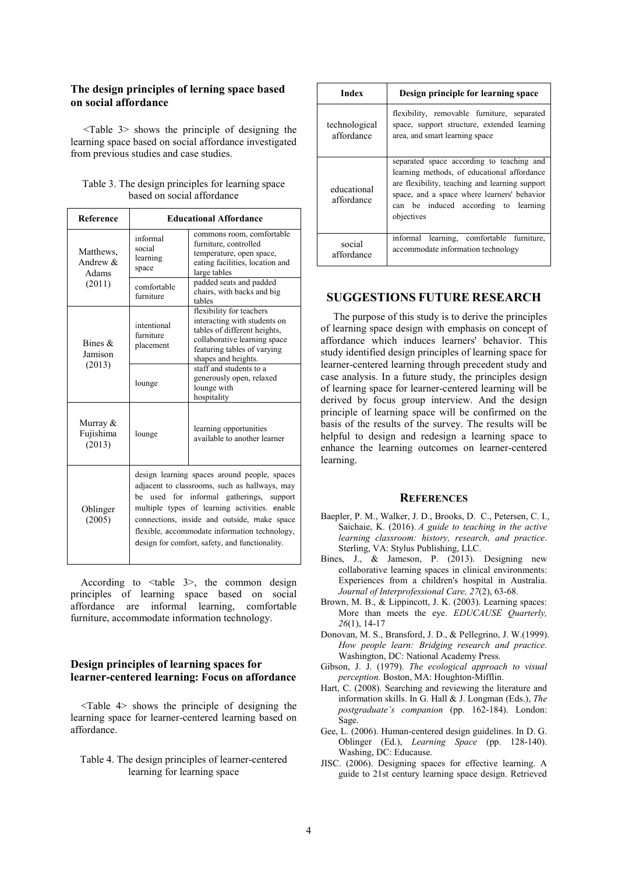## **The design principles of lerning space based on social affordance**

<Table 3> shows the principle of designing the learning space based on social affordance investigated from previous studies and case studies.

| Reference                         | <b>Educational Affordance</b>                                                                                                                                                                                                                                                                    |                                                                                                                                                                                |  |
|-----------------------------------|--------------------------------------------------------------------------------------------------------------------------------------------------------------------------------------------------------------------------------------------------------------------------------------------------|--------------------------------------------------------------------------------------------------------------------------------------------------------------------------------|--|
| Matthews,<br>Andrew $&$<br>Adams  | informal<br>social<br>learning<br>space                                                                                                                                                                                                                                                          | commons room, comfortable<br>furniture, controlled<br>temperature, open space,<br>eating facilities, location and<br>large tables                                              |  |
| (2011)                            | comfortable<br>furniture                                                                                                                                                                                                                                                                         | padded seats and padded<br>chairs, with backs and big<br>tables                                                                                                                |  |
| Bines $\&$<br>Jamison             | intentional<br>furniture<br>placement                                                                                                                                                                                                                                                            | flexibility for teachers<br>interacting with students on<br>tables of different heights,<br>collaborative learning space<br>featuring tables of varying<br>shapes and heights. |  |
| (2013)                            | lounge                                                                                                                                                                                                                                                                                           | staff and students to a<br>generously open, relaxed<br>lounge with<br>hospitality                                                                                              |  |
| Murray $&$<br>Fujishima<br>(2013) | lounge                                                                                                                                                                                                                                                                                           | learning opportunities<br>available to another learner                                                                                                                         |  |
| Oblinger<br>(2005)                | design learning spaces around people, spaces<br>adjacent to classrooms, such as hallways, may<br>used for informal gatherings,<br>be<br>support<br>multiple types of learning activities. enable<br>connections, inside and outside, make space<br>flexible, accommodate information technology, |                                                                                                                                                                                |  |

Table 3. The design principles for learning space based on social affordance

According to <table 3>, the common design principles of learning space based on social affordance are informal learning, comfortable furniture, accommodate information technology.

design for comfort, safety, and functionality.

## **Design principles of learning spaces for learner-centered learning: Focus on affordance**

<Table 4> shows the principle of designing the learning space for learner-centered learning based on affordance.

Table 4. The design principles of learner-centered learning for learning space

| Index                       | Design principle for learning space                                                                                                                                                                                                             |  |  |
|-----------------------------|-------------------------------------------------------------------------------------------------------------------------------------------------------------------------------------------------------------------------------------------------|--|--|
| technological<br>affordance | flexibility, removable furniture, separated<br>space, support structure, extended learning<br>area, and smart learning space                                                                                                                    |  |  |
| educational<br>affordance   | separated space according to teaching and<br>learning methods, of educational affordance<br>are flexibility, teaching and learning support<br>space, and a space where learners' behavior<br>can be induced according to learning<br>objectives |  |  |
| social<br>affordance        | informal learning, comfortable furniture,<br>accommodate information technology                                                                                                                                                                 |  |  |

## **SUGGESTIONS FUTURE RESEARCH**

The purpose of this study is to derive the principles of learning space design with emphasis on concept of affordance which induces learners' behavior. This study identified design principles of learning space for learner-centered learning through precedent study and case analysis. In a future study, the principles design of learning space for learner-centered learning will be derived by focus group interview. And the design principle of learning space will be confirmed on the basis of the results of the survey. The results will be helpful to design and redesign a learning space to enhance the learning outcomes on learner-centered learning.

#### **REFERENCES**

- Baepler, P. M., Walker, J. D., Brooks, D. C., Petersen, C. I., Saichaie, K. (2016). *A guide to teaching in the active learning classroom: history, research, and practice*. Sterling, VA: Stylus Publishing, LLC.
- Bines, J., & Jameson, P. (2013). Designing new collaborative learning spaces in clinical environments: Experiences from a children's hospital in Australia. *Journal of Interprofessional Care, 27*(2), 63-68.
- Brown, M. B., & Lippincott, J. K. (2003). Learning spaces: More than meets the eye. *EDUCAUSE Quarterly, 26*(1), 14-17
- Donovan, M. S., Bransford, J. D., & Pellegrino, J. W.(1999). *How people learn: Bridging research and practice.* Washington, DC: National Academy Press.
- Gibson, J. J. (1979). *The ecological approach to visual perception.* Boston, MA: Houghton-Mifflin.
- Hart, C. (2008). Searching and reviewing the literature and information skills. In G. Hall & J. Longman (Eds.), *The postgraduate's companion* (pp. 162-184). London: Sage.
- Gee, L. (2006). Human-centered design guidelines. In D. G. Oblinger (Ed.), *Learning Space* (pp. 128-140). Washing, DC: Educause.
- JISC. (2006). Designing spaces for effective learning. A guide to 21st century learning space design. Retrieved